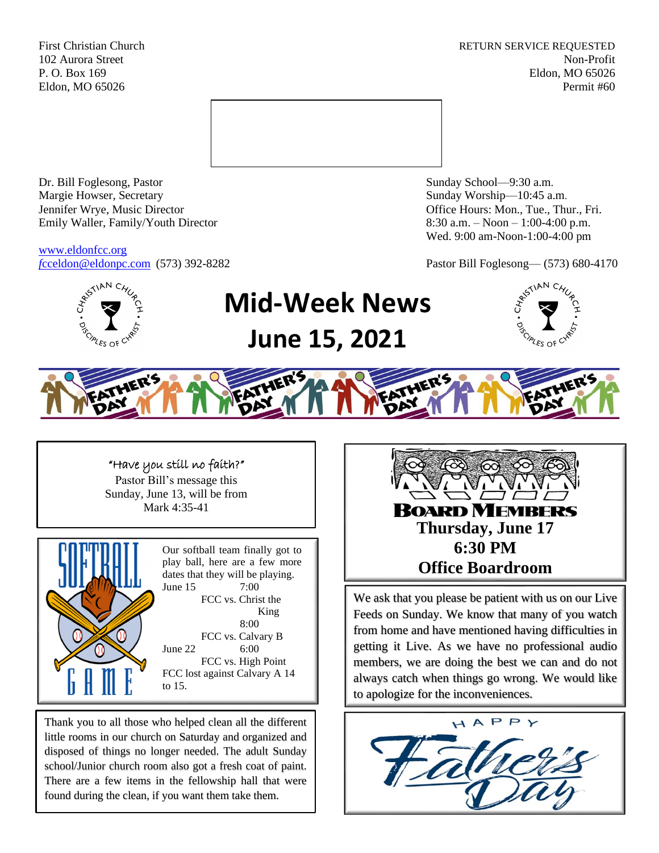First Christian Church **RETURN SERVICE REQUESTED** 102 Aurora Street Non-Profit P. O. Box 169 Eldon, MO 65026 Eldon, MO 65026 Permit #60



Dr. Bill Foglesong, Pastor Sunday School—9:30 a.m. Margie Howser, Secretary Sunday Worship—10:45 a.m. Jennifer Wrye, Music Director Office Hours: Mon., Tue., Thur., Fri. Emily Waller, Family/Youth Director 8:30 a.m. – Noon – 1:00-4:00 p.m.

[www.eldonfcc.org](http://www.eldonfcc.org/)

Wed. 9:00 am-Noon-1:00-4:00 pm

*f*[cceldon@eldonpc.com](mailto:fcceldon@eldonpc.com) (573) 392-8282 Pastor Bill Foglesong— (573) 680-4170



# **Mid-Week News June 15, 2021**





### "Have you still no faith?"

Pastor Bill's message this Sunday, June 13, will be from Mark 4:35-41



Our softball team finally got to play ball, here are a few more dates that they will be playing. June 15 7:00 FCC vs. Christ the King 8:00 FCC vs. Calvary B June 22 6:00 FCC vs. High Point FCC lost against Calvary A 14 to 15.

Thank you to all those who helped clean all the different little rooms in our church on Saturday and organized and disposed of things no longer needed. The adult Sunday school/Junior church room also got a fresh coat of paint. There are a few items in the fellowship hall that were found during the clean, if you want them take them.



We ask that you please be patient with us on our Live Feeds on Sunday. We know that many of you watch from home and have mentioned having difficulties in getting it Live. As we have no professional audio members, we are doing the best we can and do not always catch when things go wrong. We would like to apologize for the inconveniences.